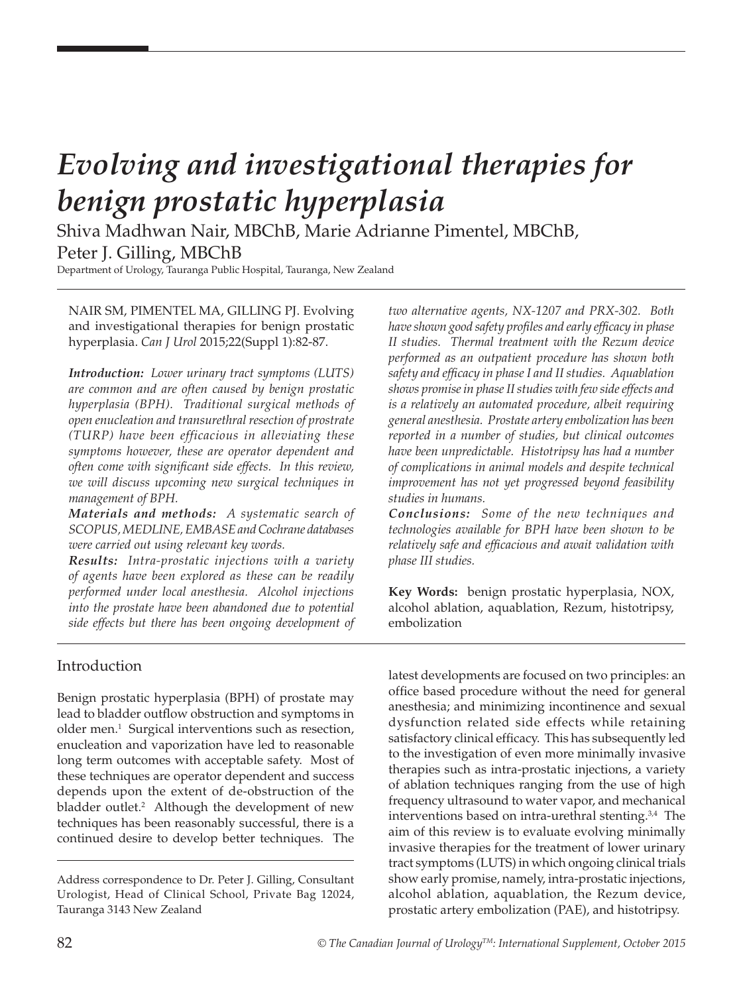# *Evolving and investigational therapies for benign prostatic hyperplasia*

Shiva Madhwan Nair, MBChB, Marie Adrianne Pimentel, MBChB, Peter J. Gilling, MBChB

Department of Urology, Tauranga Public Hospital, Tauranga, New Zealand

NAIR SM, PIMENTEL MA, GILLING PJ. Evolving and investigational therapies for benign prostatic hyperplasia. *Can J Urol* 2015;22(Suppl 1):82-87.

*Introduction: Lower urinary tract symptoms (LUTS) are common and are often caused by benign prostatic hyperplasia (BPH). Traditional surgical methods of open enucleation and transurethral resection of prostrate (TURP) have been efficacious in alleviating these symptoms however, these are operator dependent and often come with significant side effects. In this review, we will discuss upcoming new surgical techniques in management of BPH.* 

*Materials and methods: A systematic search of SCOPUS, MEDLINE, EMBASE and Cochrane databases were carried out using relevant key words.* 

*Results: Intra-prostatic injections with a variety of agents have been explored as these can be readily performed under local anesthesia. Alcohol injections into the prostate have been abandoned due to potential side effects but there has been ongoing development of* 

*two alternative agents, NX-1207 and PRX-302. Both have shown good safety profiles and early efficacy in phase II studies. Thermal treatment with the Rezum device performed as an outpatient procedure has shown both safety and efficacy in phase I and II studies. Aquablation shows promise in phase II studies with few side effects and is a relatively an automated procedure, albeit requiring general anesthesia. Prostate artery embolization has been reported in a number of studies, but clinical outcomes have been unpredictable. Histotripsy has had a number of complications in animal models and despite technical improvement has not yet progressed beyond feasibility studies in humans.* 

*Conclusions: Some of the new techniques and technologies available for BPH have been shown to be relatively safe and efficacious and await validation with phase III studies.* 

**Key Words:** benign prostatic hyperplasia, NOX, alcohol ablation, aquablation, Rezum, histotripsy, embolization

#### Introduction

Benign prostatic hyperplasia (BPH) of prostate may lead to bladder outflow obstruction and symptoms in older men.<sup>1</sup> Surgical interventions such as resection, enucleation and vaporization have led to reasonable long term outcomes with acceptable safety. Most of these techniques are operator dependent and success depends upon the extent of de-obstruction of the bladder outlet.<sup>2</sup> Although the development of new techniques has been reasonably successful, there is a continued desire to develop better techniques. The

latest developments are focused on two principles: an office based procedure without the need for general anesthesia; and minimizing incontinence and sexual dysfunction related side effects while retaining satisfactory clinical efficacy. This has subsequently led to the investigation of even more minimally invasive therapies such as intra-prostatic injections, a variety of ablation techniques ranging from the use of high frequency ultrasound to water vapor, and mechanical interventions based on intra-urethral stenting.<sup>3,4</sup> The aim of this review is to evaluate evolving minimally invasive therapies for the treatment of lower urinary tract symptoms (LUTS) in which ongoing clinical trials show early promise, namely, intra-prostatic injections, alcohol ablation, aquablation, the Rezum device, prostatic artery embolization (PAE), and histotripsy.

Address correspondence to Dr. Peter J. Gilling, Consultant Urologist, Head of Clinical School, Private Bag 12024, Tauranga 3143 New Zealand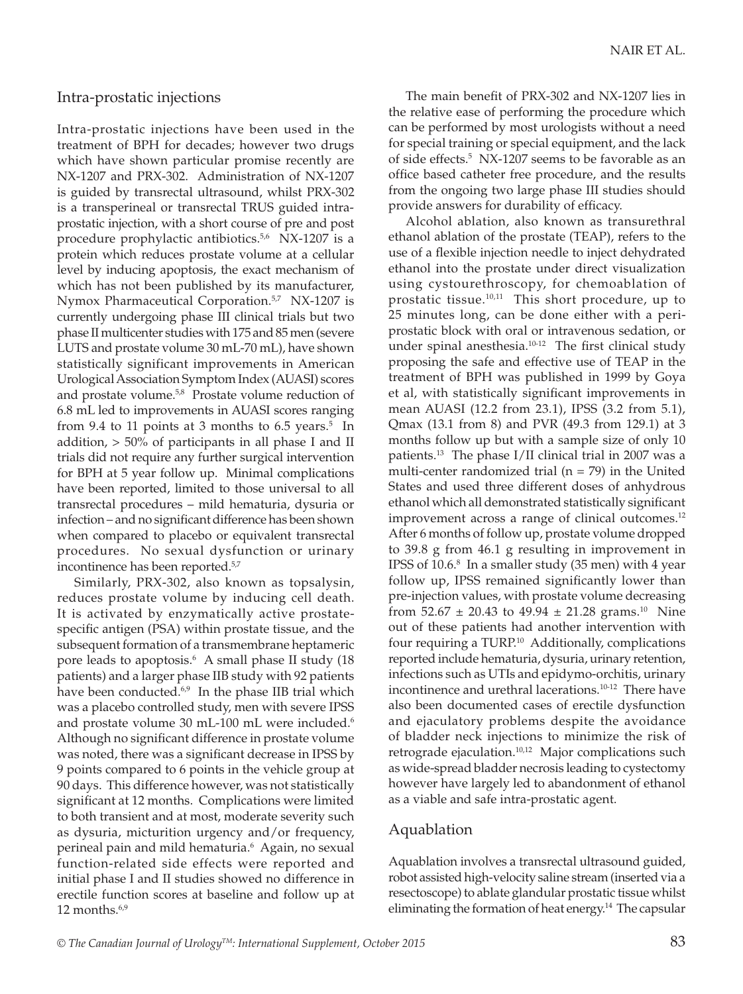#### Intra-prostatic injections

Intra-prostatic injections have been used in the treatment of BPH for decades; however two drugs which have shown particular promise recently are NX-1207 and PRX-302. Administration of NX-1207 is guided by transrectal ultrasound, whilst PRX-302 is a transperineal or transrectal TRUS guided intraprostatic injection, with a short course of pre and post procedure prophylactic antibiotics.<sup>5,6</sup> NX-1207 is a protein which reduces prostate volume at a cellular level by inducing apoptosis, the exact mechanism of which has not been published by its manufacturer, Nymox Pharmaceutical Corporation.<sup>5,7</sup> NX-1207 is currently undergoing phase III clinical trials but two phase II multicenter studies with 175 and 85 men (severe LUTS and prostate volume 30 mL-70 mL), have shown statistically significant improvements in American Urological Association Symptom Index (AUASI) scores and prostate volume.<sup>5,8</sup> Prostate volume reduction of 6.8 mL led to improvements in AUASI scores ranging from 9.4 to 11 points at 3 months to  $6.5$  years.<sup>5</sup> In addition,  $> 50\%$  of participants in all phase I and II trials did not require any further surgical intervention for BPH at 5 year follow up. Minimal complications have been reported, limited to those universal to all transrectal procedures – mild hematuria, dysuria or infection – and no significant difference has been shown when compared to placebo or equivalent transrectal procedures. No sexual dysfunction or urinary incontinence has been reported.<sup>5,7</sup>

Similarly, PRX-302, also known as topsalysin, reduces prostate volume by inducing cell death. It is activated by enzymatically active prostatespecific antigen (PSA) within prostate tissue, and the subsequent formation of a transmembrane heptameric pore leads to apoptosis.<sup>6</sup> A small phase II study (18 patients) and a larger phase IIB study with 92 patients have been conducted.<sup>6,9</sup> In the phase IIB trial which was a placebo controlled study, men with severe IPSS and prostate volume 30 mL-100 mL were included.<sup>6</sup> Although no significant difference in prostate volume was noted, there was a significant decrease in IPSS by 9 points compared to 6 points in the vehicle group at 90 days. This difference however, was not statistically significant at 12 months. Complications were limited to both transient and at most, moderate severity such as dysuria, micturition urgency and/or frequency, perineal pain and mild hematuria.6 Again, no sexual function-related side effects were reported and initial phase I and II studies showed no difference in erectile function scores at baseline and follow up at 12 months. $6.9$ 

The main benefit of PRX-302 and NX-1207 lies in the relative ease of performing the procedure which can be performed by most urologists without a need for special training or special equipment, and the lack of side effects.<sup>5</sup> NX-1207 seems to be favorable as an office based catheter free procedure, and the results from the ongoing two large phase III studies should provide answers for durability of efficacy.

Alcohol ablation, also known as transurethral ethanol ablation of the prostate (TEAP), refers to the use of a flexible injection needle to inject dehydrated ethanol into the prostate under direct visualization using cystourethroscopy, for chemoablation of prostatic tissue.<sup>10,11</sup> This short procedure, up to 25 minutes long, can be done either with a periprostatic block with oral or intravenous sedation, or under spinal anesthesia.<sup>10-12</sup> The first clinical study proposing the safe and effective use of TEAP in the treatment of BPH was published in 1999 by Goya et al, with statistically significant improvements in mean AUASI (12.2 from 23.1), IPSS (3.2 from 5.1), Qmax (13.1 from 8) and PVR (49.3 from 129.1) at 3 months follow up but with a sample size of only 10 patients.13 The phase I/II clinical trial in 2007 was a multi-center randomized trial ( $n = 79$ ) in the United States and used three different doses of anhydrous ethanol which all demonstrated statistically significant improvement across a range of clinical outcomes.<sup>12</sup> After 6 months of follow up, prostate volume dropped to 39.8 g from 46.1 g resulting in improvement in IPSS of 10.6.<sup>8</sup> In a smaller study (35 men) with 4 year follow up, IPSS remained significantly lower than pre-injection values, with prostate volume decreasing from  $52.67 \pm 20.43$  to  $49.94 \pm 21.28$  grams.<sup>10</sup> Nine out of these patients had another intervention with four requiring a TURP.<sup>10</sup> Additionally, complications reported include hematuria, dysuria, urinary retention, infections such as UTIs and epidymo-orchitis, urinary incontinence and urethral lacerations.<sup>10-12</sup> There have also been documented cases of erectile dysfunction and ejaculatory problems despite the avoidance of bladder neck injections to minimize the risk of retrograde ejaculation.<sup>10,12</sup> Major complications such as wide-spread bladder necrosis leading to cystectomy however have largely led to abandonment of ethanol as a viable and safe intra-prostatic agent.

# Aquablation

Aquablation involves a transrectal ultrasound guided, robot assisted high-velocity saline stream (inserted via a resectoscope) to ablate glandular prostatic tissue whilst eliminating the formation of heat energy.<sup>14</sup> The capsular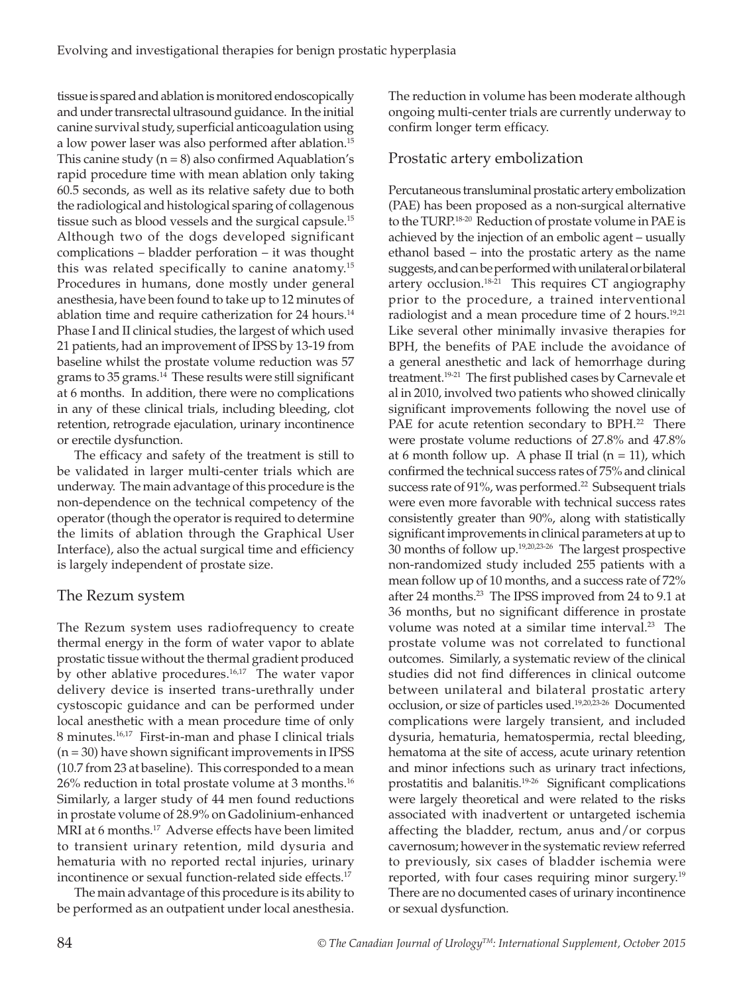tissue is spared and ablation is monitored endoscopically and under transrectal ultrasound guidance. In the initial canine survival study, superficial anticoagulation using a low power laser was also performed after ablation.<sup>15</sup> This canine study  $(n = 8)$  also confirmed Aquablation's rapid procedure time with mean ablation only taking 60.5 seconds, as well as its relative safety due to both the radiological and histological sparing of collagenous tissue such as blood vessels and the surgical capsule.<sup>15</sup> Although two of the dogs developed significant complications – bladder perforation – it was thought this was related specifically to canine anatomy.<sup>15</sup> Procedures in humans, done mostly under general anesthesia, have been found to take up to 12 minutes of ablation time and require catherization for  $24$  hours.<sup>14</sup> Phase I and II clinical studies, the largest of which used 21 patients, had an improvement of IPSS by 13-19 from baseline whilst the prostate volume reduction was 57 grams to 35 grams.<sup>14</sup> These results were still significant at 6 months. In addition, there were no complications in any of these clinical trials, including bleeding, clot retention, retrograde ejaculation, urinary incontinence or erectile dysfunction.

The efficacy and safety of the treatment is still to be validated in larger multi-center trials which are underway. The main advantage of this procedure is the non-dependence on the technical competency of the operator (though the operator is required to determine the limits of ablation through the Graphical User Interface), also the actual surgical time and efficiency is largely independent of prostate size.

# The Rezum system

The Rezum system uses radiofrequency to create thermal energy in the form of water vapor to ablate prostatic tissue without the thermal gradient produced by other ablative procedures.<sup>16,17</sup> The water vapor delivery device is inserted trans-urethrally under cystoscopic guidance and can be performed under local anesthetic with a mean procedure time of only 8 minutes.<sup>16,17</sup> First-in-man and phase I clinical trials  $(n = 30)$  have shown significant improvements in IPSS (10.7 from 23 at baseline). This corresponded to a mean 26% reduction in total prostate volume at 3 months.16 Similarly, a larger study of 44 men found reductions in prostate volume of 28.9% on Gadolinium-enhanced MRI at 6 months.<sup>17</sup> Adverse effects have been limited to transient urinary retention, mild dysuria and hematuria with no reported rectal injuries, urinary incontinence or sexual function-related side effects.<sup>17</sup>

The main advantage of this procedure is its ability to be performed as an outpatient under local anesthesia.

The reduction in volume has been moderate although ongoing multi-center trials are currently underway to confirm longer term efficacy.

# Prostatic artery embolization

Percutaneous transluminal prostatic artery embolization (PAE) has been proposed as a non-surgical alternative to the TURP.18-20 Reduction of prostate volume in PAE is achieved by the injection of an embolic agent – usually ethanol based – into the prostatic artery as the name suggests, and can be performed with unilateral or bilateral artery occlusion. $18-21$  This requires CT angiography prior to the procedure, a trained interventional radiologist and a mean procedure time of 2 hours.<sup>19,21</sup> Like several other minimally invasive therapies for BPH, the benefits of PAE include the avoidance of a general anesthetic and lack of hemorrhage during treatment.19-21 The first published cases by Carnevale et al in 2010, involved two patients who showed clinically significant improvements following the novel use of PAE for acute retention secondary to BPH.<sup>22</sup> There were prostate volume reductions of 27.8% and 47.8% at 6 month follow up. A phase II trial  $(n = 11)$ , which confirmed the technical success rates of 75% and clinical success rate of 91%, was performed.<sup>22</sup> Subsequent trials were even more favorable with technical success rates consistently greater than 90%, along with statistically significant improvements in clinical parameters at up to 30 months of follow up.19,20,23-26 The largest prospective non-randomized study included 255 patients with a mean follow up of 10 months, and a success rate of 72% after 24 months.<sup>23</sup> The IPSS improved from 24 to 9.1 at 36 months, but no significant difference in prostate volume was noted at a similar time interval.<sup>23</sup> The prostate volume was not correlated to functional outcomes. Similarly, a systematic review of the clinical studies did not find differences in clinical outcome between unilateral and bilateral prostatic artery occlusion, or size of particles used.19,20,23-26 Documented complications were largely transient, and included dysuria, hematuria, hematospermia, rectal bleeding, hematoma at the site of access, acute urinary retention and minor infections such as urinary tract infections, prostatitis and balanitis.19-26 Significant complications were largely theoretical and were related to the risks associated with inadvertent or untargeted ischemia affecting the bladder, rectum, anus and/or corpus cavernosum; however in the systematic review referred to previously, six cases of bladder ischemia were reported, with four cases requiring minor surgery.<sup>19</sup> There are no documented cases of urinary incontinence or sexual dysfunction.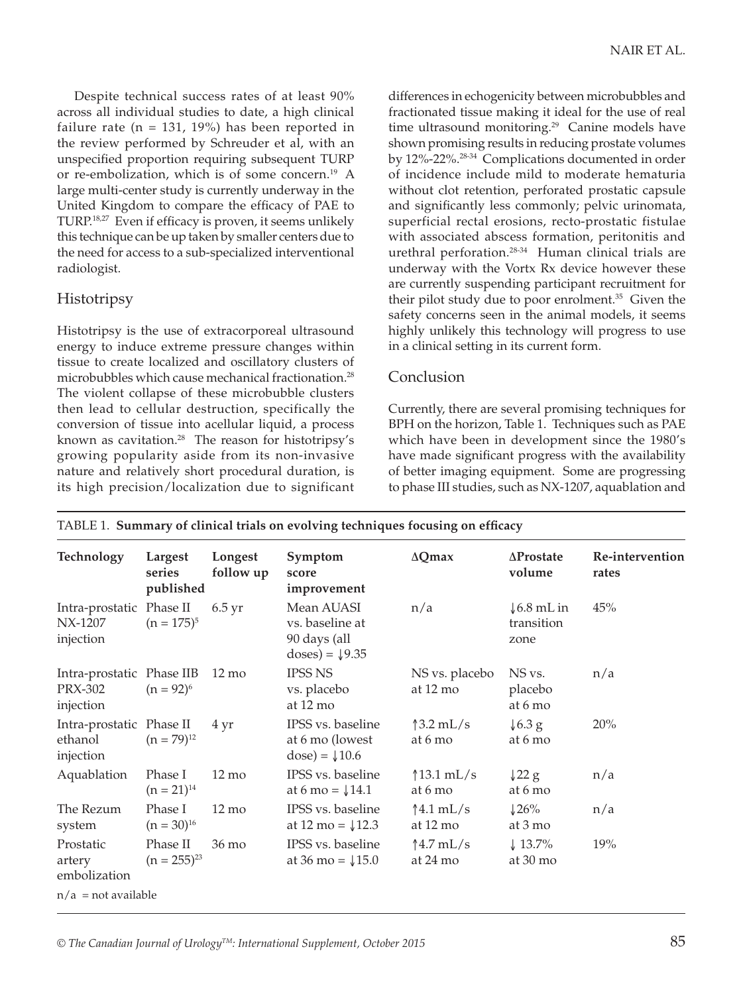Despite technical success rates of at least 90% across all individual studies to date, a high clinical failure rate ( $n = 131, 19\%$ ) has been reported in the review performed by Schreuder et al, with an unspecified proportion requiring subsequent TURP or re-embolization, which is of some concern.19 A large multi-center study is currently underway in the United Kingdom to compare the efficacy of PAE to TURP.18,27 Even if efficacy is proven, it seems unlikely this technique can be up taken by smaller centers due to the need for access to a sub-specialized interventional radiologist.

# **Histotripsy**

Histotripsy is the use of extracorporeal ultrasound energy to induce extreme pressure changes within tissue to create localized and oscillatory clusters of microbubbles which cause mechanical fractionation.<sup>28</sup> The violent collapse of these microbubble clusters then lead to cellular destruction, specifically the conversion of tissue into acellular liquid, a process known as cavitation.<sup>28</sup> The reason for histotripsy's growing popularity aside from its non-invasive nature and relatively short procedural duration, is its high precision/localization due to significant

differences in echogenicity between microbubbles and fractionated tissue making it ideal for the use of real time ultrasound monitoring.<sup>29</sup> Canine models have shown promising results in reducing prostate volumes by 12%-22%.28-34 Complications documented in order of incidence include mild to moderate hematuria without clot retention, perforated prostatic capsule and significantly less commonly; pelvic urinomata, superficial rectal erosions, recto-prostatic fistulae with associated abscess formation, peritonitis and urethral perforation.28-34 Human clinical trials are underway with the Vortx Rx device however these are currently suspending participant recruitment for their pilot study due to poor enrolment.<sup>35</sup> Given the safety concerns seen in the animal models, it seems highly unlikely this technology will progress to use in a clinical setting in its current form.

#### Conclusion

Currently, there are several promising techniques for BPH on the horizon, Table 1. Techniques such as PAE which have been in development since the 1980's have made significant progress with the availability of better imaging equipment. Some are progressing to phase III studies, such as NX-1207, aquablation and

| Technology                                               | Largest<br>series<br>published | Longest<br>follow up | Symptom<br>score<br>improvement                                         | $\Delta Q$ max                        | $\Delta$ Prostate<br>volume                  | Re-intervention<br>rates |
|----------------------------------------------------------|--------------------------------|----------------------|-------------------------------------------------------------------------|---------------------------------------|----------------------------------------------|--------------------------|
| Intra-prostatic Phase II<br>NX-1207<br>injection         | $(n = 175)^5$                  | $6.5 \,\mathrm{yr}$  | Mean AUASI<br>vs. baseline at<br>90 days (all<br>doses) = $\sqrt{9.35}$ | n/a                                   | $\downarrow$ 6.8 mL in<br>transition<br>zone | 45%                      |
| Intra-prostatic Phase IIB<br><b>PRX-302</b><br>injection | $(n = 92)^6$                   | $12 \text{ mo}$      | <b>IPSS NS</b><br>vs. placebo<br>at $12 \text{ mo}$                     | NS vs. placebo<br>at 12 mo            | NS vs.<br>placebo<br>at 6 mo                 | n/a                      |
| Intra-prostatic Phase II<br>ethanol<br>injection         | $(n = 79)^{12}$                | 4 yr                 | IPSS vs. baseline<br>at 6 mo (lowest<br>$dose) = 10.6$                  | $\frac{3.2 \text{ mL}}{s}$<br>at 6 mo | $\sqrt{6.3}$ g<br>at 6 mo                    | 20%                      |
| Aquablation                                              | Phase I<br>$(n = 21)^{14}$     | $12 \text{ mo}$      | IPSS vs. baseline<br>at 6 mo = $\sqrt{14.1}$                            | $13.1$ mL/s<br>at 6 mo                | $\sqrt{22}$ g<br>at 6 mo                     | n/a                      |
| The Rezum<br>system                                      | Phase I<br>$(n = 30)^{16}$     | $12 \text{ mo}$      | IPSS vs. baseline<br>at 12 mo = $\sqrt{12.3}$                           | $\uparrow$ 4.1 mL/s<br>at 12 mo       | $\downarrow$ 26%<br>at 3 mo                  | n/a                      |
| Prostatic<br>artery<br>embolization                      | Phase II<br>$(n = 255)^{23}$   | 36 mo                | IPSS vs. baseline<br>at 36 mo = $\sqrt{15.0}$                           | $14.7$ mL/s<br>at 24 mo               | $\downarrow 13.7\%$<br>at 30 mo              | 19%                      |
| $n/a$ = not available                                    |                                |                      |                                                                         |                                       |                                              |                          |

TABLE 1. **Summary of clinical trials on evolving techniques focusing on efficacy**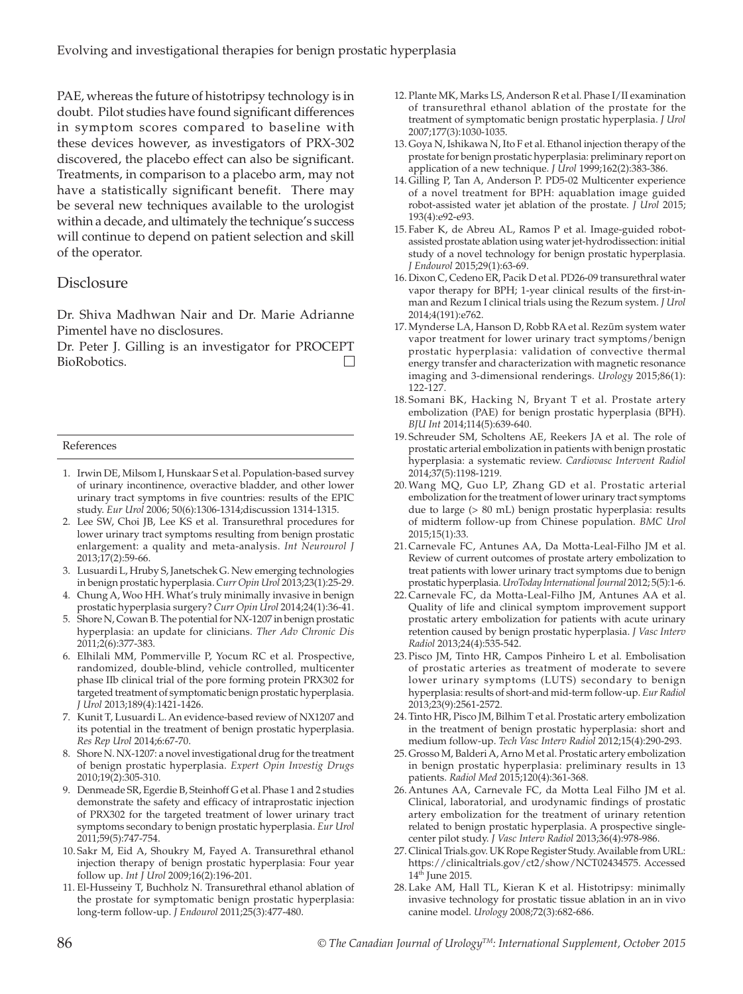PAE, whereas the future of histotripsy technology is in doubt. Pilot studies have found significant differences in symptom scores compared to baseline with these devices however, as investigators of PRX-302 discovered, the placebo effect can also be significant. Treatments, in comparison to a placebo arm, may not have a statistically significant benefit. There may be several new techniques available to the urologist within a decade, and ultimately the technique's success will continue to depend on patient selection and skill of the operator.

#### **Disclosure**

Dr. Shiva Madhwan Nair and Dr. Marie Adrianne Pimentel have no disclosures.

Dr. Peter J. Gilling is an investigator for PROCEPT BioRobotics.  $\Box$ 

#### References

- 1. Irwin DE, Milsom I, Hunskaar S et al. Population-based survey of urinary incontinence, overactive bladder, and other lower urinary tract symptoms in five countries: results of the EPIC study. *Eur Urol* 2006; 50(6):1306-1314;discussion 1314-1315.
- 2. Lee SW, Choi JB, Lee KS et al. Transurethral procedures for lower urinary tract symptoms resulting from benign prostatic enlargement: a quality and meta-analysis. *Int Neurourol J* 2013;17(2):59-66.
- 3. Lusuardi L, Hruby S, Janetschek G. New emerging technologies in benign prostatic hyperplasia. *Curr Opin Urol* 2013;23(1):25-29.
- 4. Chung A, Woo HH. What's truly minimally invasive in benign prostatic hyperplasia surgery? *Curr Opin Urol* 2014;24(1):36-41.
- 5. Shore N, Cowan B. The potential for NX-1207 in benign prostatic hyperplasia: an update for clinicians. *Ther Adv Chronic Dis* 2011;2(6):377-383.
- 6. Elhilali MM, Pommerville P, Yocum RC et al. Prospective, randomized, double-blind, vehicle controlled, multicenter phase IIb clinical trial of the pore forming protein PRX302 for targeted treatment of symptomatic benign prostatic hyperplasia. *J Urol* 2013;189(4):1421-1426.
- 7. Kunit T, Lusuardi L. An evidence-based review of NX1207 and its potential in the treatment of benign prostatic hyperplasia. *Res Rep Urol* 2014;6:67-70.
- 8. Shore N. NX-1207: a novel investigational drug for the treatment of benign prostatic hyperplasia. *Expert Opin Investig Drugs* 2010;19(2):305-310.
- 9. Denmeade SR, Egerdie B, Steinhoff G et al. Phase 1 and 2 studies demonstrate the safety and efficacy of intraprostatic injection of PRX302 for the targeted treatment of lower urinary tract symptoms secondary to benign prostatic hyperplasia. *Eur Urol* 2011;59(5):747-754.
- 10. Sakr M, Eid A, Shoukry M, Fayed A. Transurethral ethanol injection therapy of benign prostatic hyperplasia: Four year follow up. *Int J Urol* 2009;16(2):196-201.
- 11. El-Husseiny T, Buchholz N. Transurethral ethanol ablation of the prostate for symptomatic benign prostatic hyperplasia: long-term follow-up. *J Endourol* 2011;25(3):477-480.
- 12. Plante MK, Marks LS, Anderson R et al. Phase I/II examination of transurethral ethanol ablation of the prostate for the treatment of symptomatic benign prostatic hyperplasia. *J Urol* 2007;177(3):1030-1035.
- 13. Goya N, Ishikawa N, Ito F et al. Ethanol injection therapy of the prostate for benign prostatic hyperplasia: preliminary report on application of a new technique. *J Urol* 1999;162(2):383-386.
- 14. Gilling P, Tan A, Anderson P. PD5-02 Multicenter experience of a novel treatment for BPH: aquablation image guided robot-assisted water jet ablation of the prostate. *J Urol* 2015; 193(4):e92-e93.
- 15. Faber K, de Abreu AL, Ramos P et al. Image-guided robotassisted prostate ablation using water jet-hydrodissection: initial study of a novel technology for benign prostatic hyperplasia. *J Endourol* 2015;29(1):63-69.
- 16. Dixon C, Cedeno ER, Pacik D et al. PD26-09 transurethral water vapor therapy for BPH; 1-year clinical results of the first-inman and Rezum I clinical trials using the Rezum system. *J Urol* 2014;4(191):e762.
- 17.Mynderse LA, Hanson D, Robb RA et al. Rezūm system water vapor treatment for lower urinary tract symptoms/benign prostatic hyperplasia: validation of convective thermal energy transfer and characterization with magnetic resonance imaging and 3-dimensional renderings. *Urology* 2015;86(1): 122-127.
- 18. Somani BK, Hacking N, Bryant T et al. Prostate artery embolization (PAE) for benign prostatic hyperplasia (BPH). *BJU Int* 2014;114(5):639-640.
- 19. Schreuder SM, Scholtens AE, Reekers JA et al. The role of prostatic arterial embolization in patients with benign prostatic hyperplasia: a systematic review. *Cardiovasc Intervent Radiol* 2014;37(5):1198-1219.
- 20.Wang MQ, Guo LP, Zhang GD et al. Prostatic arterial embolization for the treatment of lower urinary tract symptoms due to large (> 80 mL) benign prostatic hyperplasia: results of midterm follow-up from Chinese population. *BMC Urol* 2015;15(1):33.
- 21. Carnevale FC, Antunes AA, Da Motta-Leal-Filho JM et al. Review of current outcomes of prostate artery embolization to treat patients with lower urinary tract symptoms due to benign prostatic hyperplasia. *UroToday International Journal* 2012; 5(5):1-6.
- 22. Carnevale FC, da Motta-Leal-Filho JM, Antunes AA et al. Quality of life and clinical symptom improvement support prostatic artery embolization for patients with acute urinary retention caused by benign prostatic hyperplasia. *J Vasc Interv Radiol* 2013;24(4):535-542.
- 23. Pisco JM, Tinto HR, Campos Pinheiro L et al. Embolisation of prostatic arteries as treatment of moderate to severe lower urinary symptoms (LUTS) secondary to benign hyperplasia: results of short-and mid-term follow-up. *Eur Radiol* 2013;23(9):2561-2572.
- 24. Tinto HR, Pisco JM, Bilhim T et al. Prostatic artery embolization in the treatment of benign prostatic hyperplasia: short and medium follow-up. *Tech Vasc Interv Radiol* 2012;15(4):290-293.
- 25. Grosso M, Balderi A, Arno M et al. Prostatic artery embolization in benign prostatic hyperplasia: preliminary results in 13 patients. *Radiol Med* 2015;120(4):361-368.
- 26. Antunes AA, Carnevale FC, da Motta Leal Filho JM et al. Clinical, laboratorial, and urodynamic findings of prostatic artery embolization for the treatment of urinary retention related to benign prostatic hyperplasia. A prospective singlecenter pilot study. *J Vasc Interv Radiol* 2013;36(4):978-986.
- 27. Clinical Trials.gov. UK Rope Register Study. Available from URL: https://clinicaltrials.gov/ct2/show/NCT02434575. Accessed 14th June 2015.
- 28. Lake AM, Hall TL, Kieran K et al. Histotripsy: minimally invasive technology for prostatic tissue ablation in an in vivo canine model. *Urology* 2008;72(3):682-686.